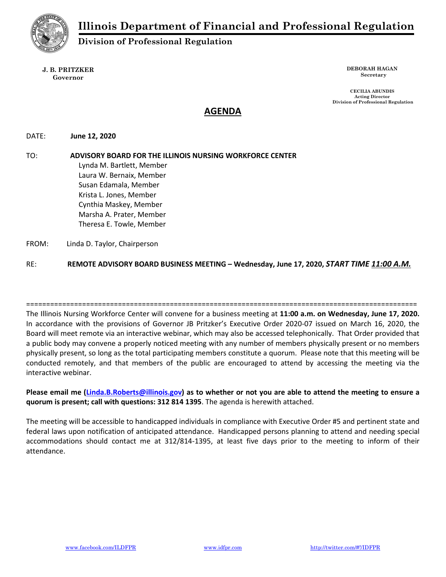

# Division of Professional Regulation

#### J. B. PRITZKER Governor

DEBORAH HAGAN Secretary

CECILIA ABUNDIS Acting Director Division of Professional Regulation

# AGENDA

# DATE: June 12, 2020

TO: ADVISORY BOARD FOR THE ILLINOIS NURSING WORKFORCE CENTER Lynda M. Bartlett, Member Laura W. Bernaix, Member Susan Edamala, Member Krista L. Jones, Member Cynthia Maskey, Member Marsha A. Prater, Member Theresa E. Towle, Member FROM: Linda D. Taylor, Chairperson

RE: REMOTE ADVISORY BOARD BUSINESS MEETING - Wednesday, June 17, 2020, START TIME 11:00 A.M.

================================================================================================== The Illinois Nursing Workforce Center will convene for a business meeting at 11:00 a.m. on Wednesday, June 17, 2020. In accordance with the provisions of Governor JB Pritzker's Executive Order 2020-07 issued on March 16, 2020, the Board will meet remote via an interactive webinar, which may also be accessed telephonically. That Order provided that a public body may convene a properly noticed meeting with any number of members physically present or no members physically present, so long as the total participating members constitute a quorum. Please note that this meeting will be conducted remotely, and that members of the public are encouraged to attend by accessing the meeting via the interactive webinar.

# Please email me (Linda.B.Roberts@illinois.gov) as to whether or not you are able to attend the meeting to ensure a quorum is present; call with questions: 312 814 1395. The agenda is herewith attached.

The meeting will be accessible to handicapped individuals in compliance with Executive Order #5 and pertinent state and federal laws upon notification of anticipated attendance. Handicapped persons planning to attend and needing special accommodations should contact me at 312/814-1395, at least five days prior to the meeting to inform of their attendance.